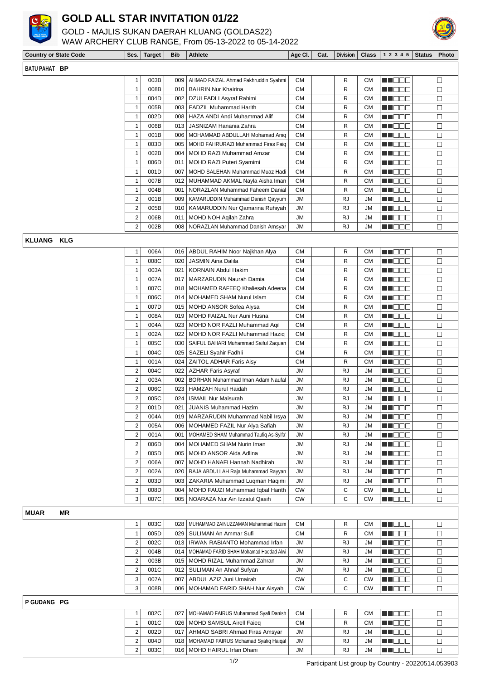

## **GOLD ALL STAR INVITATION 01/22**

GOLD - MAJLIS SUKAN DAERAH KLUANG (GOLDAS22)





| <b>Country or State Code</b> | Ses.                    | <b>Target</b> | <b>Bib</b> | <b>Athlete</b>                                         | Age CI.                | Cat. | <b>Division</b> | <b>Class</b>           | 1 2 3 4 5                                                                                                       | <b>Status</b> | Photo            |
|------------------------------|-------------------------|---------------|------------|--------------------------------------------------------|------------------------|------|-----------------|------------------------|-----------------------------------------------------------------------------------------------------------------|---------------|------------------|
| BATU PAHAT BP                |                         |               |            |                                                        |                        |      |                 |                        |                                                                                                                 |               |                  |
|                              | 1                       | 003B          | 009        | AHMAD FAIZAL Ahmad Fakhruddin Syahmi                   | <b>CM</b>              |      | R               | <b>CM</b>              | MN DO W                                                                                                         |               | $\Box$           |
|                              | 1                       | 008B          | 010        | <b>BAHRIN Nur Khairina</b>                             | <b>CM</b>              |      | R               | <b>CM</b>              | a de Estados de Estados do Estados por outros por outros por outros por outros por outros por outros por outros |               | $\Box$           |
|                              | 1                       | 004D          | 002        | DZULFADLI Asyraf Rahimi                                | <b>CM</b>              |      | R               | <b>CM</b>              | MA DE E                                                                                                         |               | $\Box$           |
|                              | 1                       | 005B          | 003        | <b>FADZIL Muhammad Harith</b>                          | <b>CM</b>              |      | R               | СM                     | M O O O                                                                                                         |               | □                |
|                              | 1                       | 002D          | 008        | HAZA ANDI Andi Muhammad Alif                           | <b>CM</b>              |      | R               | <b>CM</b>              | M S S S                                                                                                         |               | $\Box$           |
|                              | 1                       | 006B          | 013        | JASNIZAM Hanania Zahra                                 | <b>CM</b>              |      | R               | <b>CM</b>              | en de la                                                                                                        |               | $\Box$           |
|                              | $\mathbf{1}$            | 001B          | 006        | MOHAMMAD ABDULLAH Mohamad Aniq                         | <b>CM</b>              |      | R               | <b>CM</b>              | <u> a se esc</u>                                                                                                |               | $\Box$           |
|                              | 1                       | 003D          | 005        | MOHD FAHRURAZI Muhammad Firas Faig                     | <b>CM</b>              |      | R               | <b>CM</b>              | <u>sa sa sa</u>                                                                                                 |               | $\Box$           |
|                              | 1                       | 002B          | 004        | MOHD RAZI Muhammad Amzar                               | <b>CM</b>              |      | R               | <b>CM</b>              | MA DE C                                                                                                         |               | □                |
|                              | 1                       | 006D          | 011        | MOHD RAZI Puteri Syamimi                               | <b>CM</b>              |      | R               | <b>CM</b>              | <u>s de la p</u>                                                                                                |               | $\Box$           |
|                              | 1                       | 001D          | 007        | MOHD SALEHAN Muhammad Muaz Hadi                        | <b>CM</b>              |      | R               | СM                     | MI DE E                                                                                                         |               | $\Box$           |
|                              | 1                       | 007B          | 012        | MUHAMMAD AKMAL Nayla Aisha Iman                        | <b>CM</b>              |      | R               | <b>CM</b>              | MI OEE                                                                                                          |               | $\Box$           |
|                              | 1                       | 004B          | 001        | NORAZLAN Muhammad Faheem Danial                        | СM                     |      | R               | СM                     | M S S S                                                                                                         |               | □                |
|                              | 2                       | 001B          | 009        | KAMARUDDIN Muhammad Danish Qayyum                      | <b>JM</b>              |      | <b>RJ</b>       | JM                     | de de la p                                                                                                      |               | $\Box$           |
|                              | 2                       | 005B          | 010        | KAMARUDDIN Nur Qamarina Ruhiyah                        | <b>JM</b>              |      | <b>RJ</b>       | JM                     | <u> a se esc</u>                                                                                                |               | $\Box$           |
|                              | 2                       | 006B          | 011        | MOHD NOH Agilah Zahra                                  | <b>JM</b>              |      | <b>RJ</b>       | JM                     | en de e                                                                                                         |               | $\Box$           |
|                              | $\overline{2}$          | 002B          | 008        | NORAZLAN Muhammad Danish Amsyar                        | <b>JM</b>              |      | RJ              | JM                     | de de la                                                                                                        |               | $\Box$           |
| <b>KLUANG KLG</b>            |                         |               |            |                                                        |                        |      |                 |                        |                                                                                                                 |               |                  |
|                              |                         |               |            |                                                        |                        |      |                 |                        |                                                                                                                 |               |                  |
|                              | 1                       | 006A          | 016        | ABDUL RAHIM Noor Najkhan Alya                          | СM                     |      | R               | <b>CM</b>              | N NO DEL                                                                                                        |               | $\Box$           |
|                              | $\mathbf{1}$            | 008C          | 020        | JASMIN Aina Dalila                                     | <b>CM</b>              |      | R               | <b>CM</b>              | an di kacamatan Ing Bandar                                                                                      |               | П                |
|                              | 1                       | 003A          | 021        | <b>KORNAIN Abdul Hakim</b>                             | <b>CM</b>              |      | R               | <b>CM</b>              | MI O S S                                                                                                        |               | $\Box$           |
|                              | 1<br>1                  | 007A<br>007C  | 017        | MARZARUDIN Naurah Damia                                | <b>CM</b><br><b>CM</b> |      | R<br>R          | <b>CM</b>              | THE EL                                                                                                          |               | □                |
|                              |                         |               | 018        | MOHAMED RAFEEQ Khaliesah Adeena                        |                        |      |                 | <b>CM</b>              | <u>sta e e c</u>                                                                                                |               | $\Box$           |
|                              | 1                       | 006C          | 014        | MOHAMED SHAM Nurul Islam                               | <b>CM</b>              |      | R               | <b>CM</b>              | en de la                                                                                                        |               | $\Box$           |
|                              | $\mathbf{1}$            | 007D          | 015        | <b>MOHD ANSOR Sofea Alysa</b>                          | <b>CM</b>              |      | R               | <b>CM</b>              | MI O S S                                                                                                        |               | $\Box$           |
|                              | 1<br>1                  | 008A          | 019<br>023 | MOHD FAIZAL Nur Auni Husna                             | <b>CM</b><br><b>CM</b> |      | R<br>R          | CМ<br><b>CM</b>        | N N D O O                                                                                                       |               | □                |
|                              |                         | 004A          |            | MOHD NOR FAZLI Muhammad Aqil                           |                        |      |                 |                        | N N D D D                                                                                                       |               | $\Box$           |
|                              | 1                       | 002A          | 022        | MOHD NOR FAZLI Muhammad Haziq                          | <b>CM</b><br><b>CM</b> |      | R<br>R          | <b>CM</b>              | <u> HELL</u>                                                                                                    |               | $\Box$<br>$\Box$ |
|                              | 1<br>1                  | 005C<br>004C  | 030<br>025 | SAIFUL BAHARI Muhammad Saiful Zaquan                   | <b>CM</b>              |      | R               | <b>CM</b><br><b>CM</b> | en de e                                                                                                         |               | $\Box$           |
|                              | 1                       | 001A          | 024        | SAZELI Syahir Fadhli<br><b>ZAITOL ADHAR Faris Aisy</b> | <b>CM</b>              |      | R               | <b>CM</b>              | N DE E<br>MA BEL                                                                                                |               | $\Box$           |
|                              | 2                       | 004C          | 022        | <b>AZHAR Faris Asyraf</b>                              | <b>JM</b>              |      | <b>RJ</b>       | JM                     | <u>s de la p</u>                                                                                                |               | $\Box$           |
|                              | 2                       | 003A          | 002        | BORHAN Muhammad Iman Adam Naufal                       | <b>JM</b>              |      | RJ              | JM                     | <u>a je po</u> s                                                                                                |               | $\Box$           |
|                              | $\overline{2}$          | 006C          | 023        | <b>HAMZAH Nurul Haidah</b>                             | <b>JM</b>              |      | <b>RJ</b>       | JM                     | N N D O O                                                                                                       |               | $\Box$           |
|                              | 2                       | 005C          | 024        | <b>ISMAIL Nur Maisurah</b>                             | <b>JM</b>              |      | RJ              | JM                     | de de la p                                                                                                      |               | $\Box$           |
|                              | $\overline{2}$          | 001D          | 021        | JUANIS Muhammad Hazim                                  | JM                     |      | <b>RJ</b>       | <b>JM</b>              | M DE B                                                                                                          |               | $\Box$           |
|                              | 2                       | 004A          | 019        | MARZARUDIN Muhammad Nabil Irsya                        | <b>JM</b>              |      | <b>RJ</b>       | JM                     | MU DO O                                                                                                         |               | $\Box$           |
|                              | 2                       | 005A          | 006        | MOHAMED FAZIL Nur Alya Safiah                          | JM                     |      | <b>RJ</b>       | JM                     | N D D D                                                                                                         |               | $\Box$           |
|                              | 2                       | 001A          | 001        | MOHAMED SHAM Muhammad Taufiq As-Syifa'                 | JM                     |      | <b>RJ</b>       | JM                     | MN DE C                                                                                                         |               | $\Box$           |
|                              | 2                       | 006D          | 004        | MOHAMED SHAM Nurin Iman                                | JM                     |      | RJ              | JM                     | M HE BE                                                                                                         |               | $\Box$           |
|                              | 2                       | 005D          | 005        | MOHD ANSOR Aida Adlina                                 | JM                     |      | <b>RJ</b>       | JM                     | MU OO U                                                                                                         |               | □                |
|                              | 2                       | 006A          | 007        | MOHD HANAFI Hannah Nadhirah                            | JM                     |      | RJ              | JM                     | MU DE L                                                                                                         |               | $\Box$           |
|                              | $\overline{2}$          | 002A          | 020        | RAJA ABDULLAH Raja Muhammad Rayyan                     | JM                     |      | <b>RJ</b>       | JM                     | MN DE C                                                                                                         |               | П                |
|                              | 2                       | 003D          | 003        | ZAKARIA Muhammad Luqman Haqimi                         | <b>JM</b>              |      | RJ              | JM                     | <b>REBED</b>                                                                                                    |               | $\Box$           |
|                              | 3                       | 008D          | 004        | MOHD FAUZI Muhammad Iqbal Harith                       | <b>CW</b>              |      | C               | <b>CW</b>              | MU DO O                                                                                                         |               | $\Box$           |
|                              | 3                       | 007C          | 005        | NOARAZA Nur Ain Izzatul Qasih                          | <b>CW</b>              |      | С               | <b>CW</b>              | N N D O O                                                                                                       |               | $\Box$           |
|                              |                         |               |            |                                                        |                        |      |                 |                        |                                                                                                                 |               |                  |
| <b>MUAR</b><br>ΜR            |                         |               |            |                                                        |                        |      |                 |                        |                                                                                                                 |               |                  |
|                              | 1                       | 003C          | 028        | MUHAMMAD ZAINUZZAMAN Muhammad Hazim                    | CМ                     |      | R               | <b>CM</b>              | MN DOG                                                                                                          |               | $\Box$           |
|                              | 1                       | 005D          | 029        | SULIMAN An Ammar Sufi                                  | <b>CM</b>              |      | R               | <b>CM</b>              | M DOO                                                                                                           |               | $\Box$           |
|                              | 2                       | 002C          |            | 013   IRWAN RABIANTO Mohammad Irfan                    | JM                     |      | <b>RJ</b>       | JM                     | W O O O                                                                                                         |               | $\Box$           |
|                              | 2                       | 004B          |            | 014   MOHAMAD FARID SHAH Mohamad Haddad Alwi           | JM                     |      | <b>RJ</b>       | JM                     | N N O O O                                                                                                       |               | $\Box$           |
|                              | $\overline{2}$          | 003B          |            | 015   MOHD RIZAL Muhammad Zahran                       | JM                     |      | <b>RJ</b>       | JM                     | <u> HIS DIE </u>                                                                                                |               | $\Box$           |
|                              | 2                       | 001C          |            | 012   SULIMAN An Ahnaf Sufyan                          | JM                     |      | RJ              | JM                     | ME DE L                                                                                                         |               | $\Box$           |
|                              | 3                       | 007A          | 007        | ABDUL AZIZ Juni Umairah                                | <b>CW</b>              |      | C               | <b>CW</b>              | <u>sta e e c</u>                                                                                                |               | $\Box$           |
|                              | 3                       | 008B          | 006        | MOHAMAD FARID SHAH Nur Aisyah                          | <b>CW</b>              |      | C               | <b>CW</b>              | N NO O O                                                                                                        |               | $\Box$           |
| P GUDANG PG                  |                         |               |            |                                                        |                        |      |                 |                        |                                                                                                                 |               |                  |
|                              | 1                       | 002C          | 027        | MOHAMAD FAIRUS Muhammad Syafi Danish                   | <b>CM</b>              |      | R               | СM                     | MN 888                                                                                                          |               | $\Box$           |
|                              | 1                       | 001C          | 026        | MOHD SAMSUL Airell Faieq                               | <b>CM</b>              |      | R               | СM                     | <u>s de e</u>                                                                                                   |               | $\Box$           |
|                              | $\overline{\mathbf{c}}$ | 002D          | 017        | AHMAD SABRI Ahmad Firas Amsyar                         | JM                     |      | RJ              | JM                     | MU DO O                                                                                                         |               | $\Box$           |
|                              | $\overline{2}$          | 004D          | 018        | MOHAMAD FAIRUS Mohamad Syafiq Haiqal                   | JM                     |      | <b>RJ</b>       | JM                     | MU DO O                                                                                                         |               | $\Box$           |
|                              | 2                       | 003C          | 016        | MOHD HAIRUL Irfan Dhani                                | JM                     |      | RJ              | JM                     | <b>RECODE</b>                                                                                                   |               | $\Box$           |
|                              |                         |               |            |                                                        |                        |      |                 |                        |                                                                                                                 |               |                  |